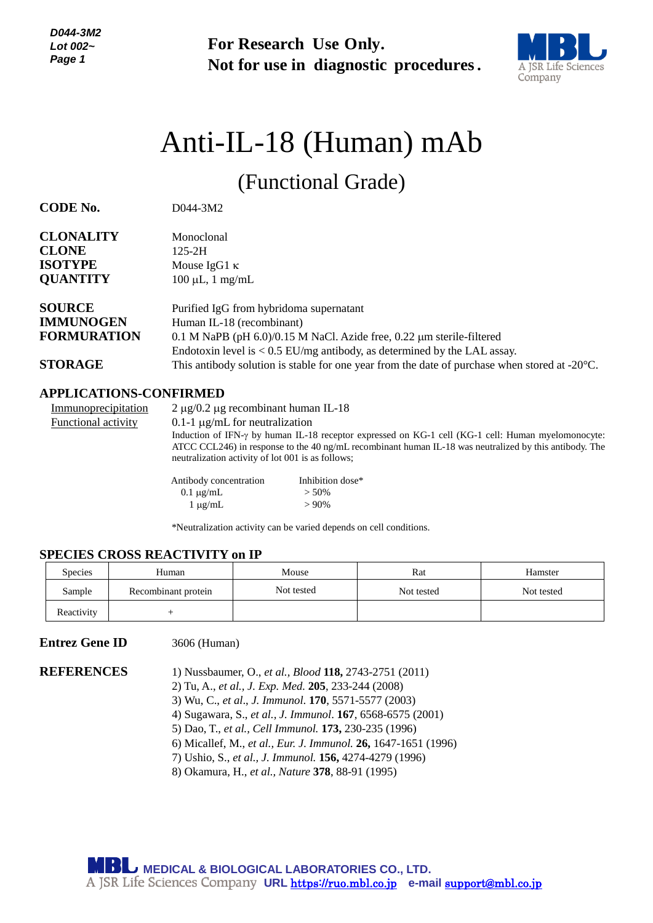**For Research Use Only. Not for use in diagnostic procedures.**



# Anti-IL-18 (Human) mAb

(Functional Grade)

**CODE No.** D044-3M2

| <b>CLONALITY</b>   | Monoclonal                                                                                              |
|--------------------|---------------------------------------------------------------------------------------------------------|
| <b>CLONE</b>       | $125 - 2H$                                                                                              |
| <b>ISOTYPE</b>     | Mouse IgG1 $\kappa$                                                                                     |
| <b>QUANTITY</b>    | $100 \mu L$ , 1 mg/mL                                                                                   |
| <b>SOURCE</b>      | Purified IgG from hybridoma supernatant                                                                 |
| <b>IMMUNOGEN</b>   | Human IL-18 (recombinant)                                                                               |
| <b>FORMURATION</b> | $0.1$ M NaPB (pH $6.0$ )/0.15 M NaCl. Azide free, 0.22 $\mu$ m sterile-filtered                         |
|                    | Endotoxin level is $< 0.5$ EU/mg antibody, as determined by the LAL assay.                              |
| <b>STORAGE</b>     | This antibody solution is stable for one year from the date of purchase when stored at $-20^{\circ}$ C. |

# **APPLICATIONS-CONFIRMED**

| Immunoprecipitation | $2 \mu$ g/0.2 µg recombinant human IL-18          |                                                                                                            |
|---------------------|---------------------------------------------------|------------------------------------------------------------------------------------------------------------|
| Functional activity | 0.1-1 $\mu$ g/mL for neutralization               |                                                                                                            |
|                     |                                                   | Induction of IFN- $\gamma$ by human IL-18 receptor expressed on KG-1 cell (KG-1 cell: Human myelomonocyte: |
|                     |                                                   | ATCC CCL246) in response to the 40 ng/mL recombinant human IL-18 was neutralized by this antibody. The     |
|                     | neutralization activity of lot 001 is as follows; |                                                                                                            |
|                     | Antibody concentration                            | Inhibition dose*                                                                                           |
|                     | $0.1 \mu$ g/mL                                    | $> 50\%$                                                                                                   |

\*Neutralization activity can be varied depends on cell conditions.

 $1 \mu g/mL$  > 90%

# **SPECIES CROSS REACTIVITY on IP**

| <b>Species</b> | Human               | Mouse      | Rat        | Hamster    |
|----------------|---------------------|------------|------------|------------|
| Sample         | Recombinant protein | Not tested | Not tested | Not tested |
| Reactivity     |                     |            |            |            |

# **Entrez Gene ID** 3606 (Human)

**REFERENCES** 1) Nussbaumer, O., *et al., Blood* **118,** 2743-2751 (2011) 2) Tu, A., *et al., J. Exp. Med.* **205**, 233-244 (2008) 3) Wu, C., *et al*., *J. Immunol*. **170**, 5571-5577 (2003) 4) Sugawara, S., *et al., J. Immunol*. **167**, 6568-6575 (2001) 5) Dao, T., *et al., Cell Immunol.* **173,** 230-235 (1996) 6) Micallef, M., *et al., Eur. J. Immunol.* **26,** 1647-1651 (1996)

7) Ushio, S., *et al., J. Immunol.* **156,** 4274-4279 (1996)

8) Okamura, H., *et al., Nature* **378**, 88-91 (1995)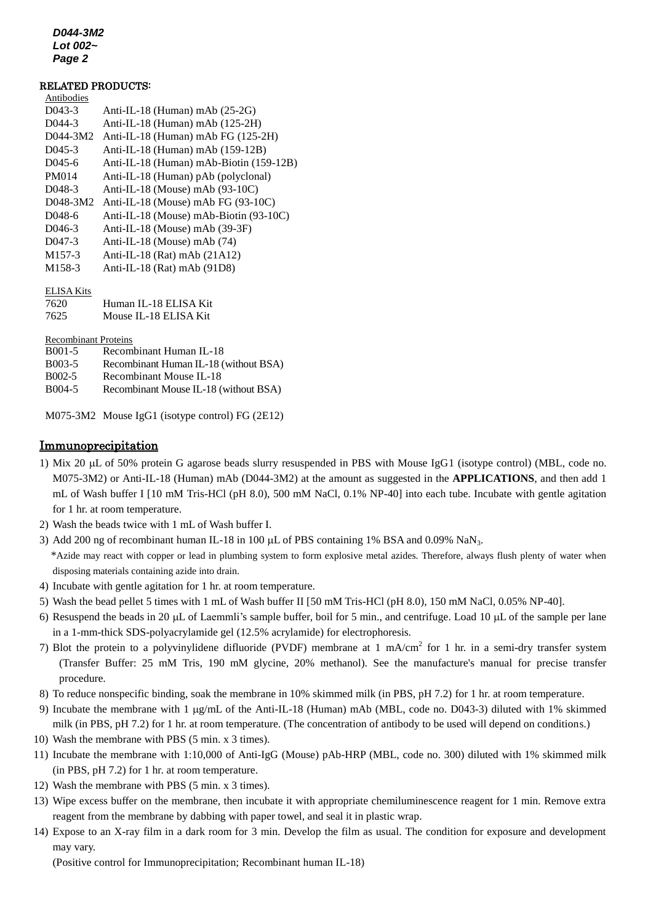*D044-3M2 Lot 002~ Page 2*

#### RELATED PRODUCTS:

| Antibodies          |                                         |
|---------------------|-----------------------------------------|
| D043-3              | Anti-IL-18 (Human) mAb $(25-2G)$        |
| $D044-3$            | Anti-IL-18 (Human) mAb $(125-2H)$       |
| D044-3M2            | Anti-IL-18 (Human) mAb FG (125-2H)      |
| $D045-3$            | Anti-IL-18 (Human) mAb $(159-12B)$      |
| $D045-6$            | Anti-IL-18 (Human) mAb-Biotin (159-12B) |
| <b>PM014</b>        | Anti-IL-18 (Human) pAb (polyclonal)     |
| D <sub>048</sub> -3 | Anti-IL-18 (Mouse) mAb $(93-10C)$       |
| D048-3M2            | Anti-IL-18 (Mouse) mAb FG $(93-10C)$    |
| D <sub>048</sub> -6 | Anti-IL-18 (Mouse) mAb-Biotin (93-10C)  |
| $D$ 046-3           | Anti-IL-18 (Mouse) mAb (39-3F)          |
| $D047-3$            | Anti-IL-18 (Mouse) mAb (74)             |
| M <sub>157-3</sub>  | Anti-IL-18 (Rat) mAb $(21A12)$          |
| M <sub>158-3</sub>  | Anti-IL-18 (Rat) mAb $(91D8)$           |
|                     |                                         |
|                     |                                         |

#### ELISA Kits

| 7620 | Human IL-18 ELISA Kit |
|------|-----------------------|
| 7625 | Mouse IL-18 ELISA Kit |

Recombinant Proteins

B001-5 [Recombinant Human IL-18](http://ruo.mbl.co.jp/dtl/P/B001-5/) B003-5 [Recombinant Human IL-18 \(without BSA\)](http://ruo.mbl.co.jp/dtl/P/B003-5/) B002-5 [Recombinant Mouse IL-18](http://ruo.mbl.co.jp/dtl/P/B002-5/) B004-5 [Recombinant Mouse IL-18 \(without BSA\)](http://ruo.mbl.co.jp/dtl/P/B004-5/)

M075-3M2 Mouse [IgG1 \(isotype control\) FG \(2E12\)](http://ruo.mbl.co.jp/dtl/A/M080-3M2/)

# Immunoprecipitation

- 1) Mix 20 L of 50% protein G agarose beads slurry resuspended in PBS with Mouse IgG1 (isotype control) (MBL, code no. M075-3M2) or Anti-IL-18 (Human) mAb (D044-3M2) at the amount as suggested in the **APPLICATIONS**, and then add 1 mL of Wash buffer I [10 mM Tris-HCl (pH 8.0), 500 mM NaCl, 0.1% NP-40] into each tube. Incubate with gentle agitation for 1 hr. at room temperature.
- 2) Wash the beads twice with 1 mL of Wash buffer I.
- 3) Add 200 ng of recombinant human IL-18 in 100  $\mu$ L of PBS containing 1% BSA and 0.09% NaN<sub>3</sub>.

\*Azide may react with copper or lead in plumbing system to form explosive metal azides. Therefore, always flush plenty of water when disposing materials containing azide into drain.

- 4) Incubate with gentle agitation for 1 hr. at room temperature.
- 5) Wash the bead pellet 5 times with 1 mL of Wash buffer II [50 mM Tris-HCl (pH 8.0), 150 mM NaCl, 0.05% NP-40].
- 6) Resuspend the beads in 20  $\mu$ L of Laemmli's sample buffer, boil for 5 min., and centrifuge. Load 10  $\mu$ L of the sample per lane in a 1-mm-thick SDS-polyacrylamide gel (12.5% acrylamide) for electrophoresis.
- 7) Blot the protein to a polyvinylidene difluoride (PVDF) membrane at 1 mA/cm<sup>2</sup> for 1 hr. in a semi-dry transfer system (Transfer Buffer: 25 mM Tris, 190 mM glycine, 20% methanol). See the manufacture's manual for precise transfer procedure.
- 8) To reduce nonspecific binding, soak the membrane in 10% skimmed milk (in PBS, pH 7.2) for 1 hr. at room temperature.
- 9) Incubate the membrane with 1 g/mL of the Anti-IL-18 (Human) mAb (MBL, code no. D043-3) diluted with 1% skimmed milk (in PBS, pH 7.2) for 1 hr. at room temperature. (The concentration of antibody to be used will depend on conditions.)
- 10) Wash the membrane with PBS (5 min. x 3 times).
- 11) Incubate the membrane with 1:10,000 of Anti-IgG (Mouse) pAb-HRP (MBL, code no. 300) diluted with 1% skimmed milk (in PBS, pH 7.2) for 1 hr. at room temperature.
- 12) Wash the membrane with PBS (5 min. x 3 times).
- 13) Wipe excess buffer on the membrane, then incubate it with appropriate chemiluminescence reagent for 1 min. Remove extra reagent from the membrane by dabbing with paper towel, and seal it in plastic wrap.
- 14) Expose to an X-ray film in a dark room for 3 min. Develop the film as usual. The condition for exposure and development may vary.

(Positive control for Immunoprecipitation; Recombinant human IL-18)